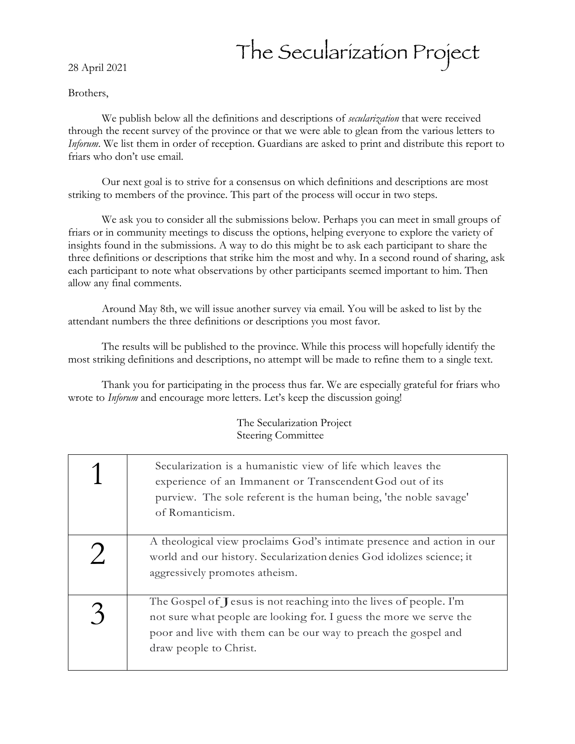28 April 2021

## The Secularization Project

## Brothers,

We publish below all the definitions and descriptions of *secularization* that were received through the recent survey of the province or that we were able to glean from the various letters to *Inforum*. We list them in order of reception. Guardians are asked to print and distribute this report to friars who don't use email.

Our next goal is to strive for a consensus on which definitions and descriptions are most striking to members of the province. This part of the process will occur in two steps.

We ask you to consider all the submissions below. Perhaps you can meet in small groups of friars or in community meetings to discuss the options, helping everyone to explore the variety of insights found in the submissions. A way to do this might be to ask each participant to share the three definitions or descriptions that strike him the most and why. In a second round of sharing, ask each participant to note what observations by other participants seemed important to him. Then allow any final comments.

Around May 8th, we will issue another survey via email. You will be asked to list by the attendant numbers the three definitions or descriptions you most favor.

The results will be published to the province. While this process will hopefully identify the most striking definitions and descriptions, no attempt will be made to refine them to a single text.

Thank you for participating in the process thus far. We are especially grateful for friars who wrote to *Inforum* and encourage more letters. Let's keep the discussion going!

> The Secularization Project Steering Committee

| Secularization is a humanistic view of life which leaves the<br>experience of an Immanent or Transcendent God out of its<br>purview. The sole referent is the human being, 'the noble savage'<br>of Romanticism.                      |
|---------------------------------------------------------------------------------------------------------------------------------------------------------------------------------------------------------------------------------------|
| A theological view proclaims God's intimate presence and action in our<br>world and our history. Secularization denies God idolizes science; it<br>aggressively promotes atheism.                                                     |
| The Gospel of Jesus is not reaching into the lives of people. I'm<br>not sure what people are looking for. I guess the more we serve the<br>poor and live with them can be our way to preach the gospel and<br>draw people to Christ. |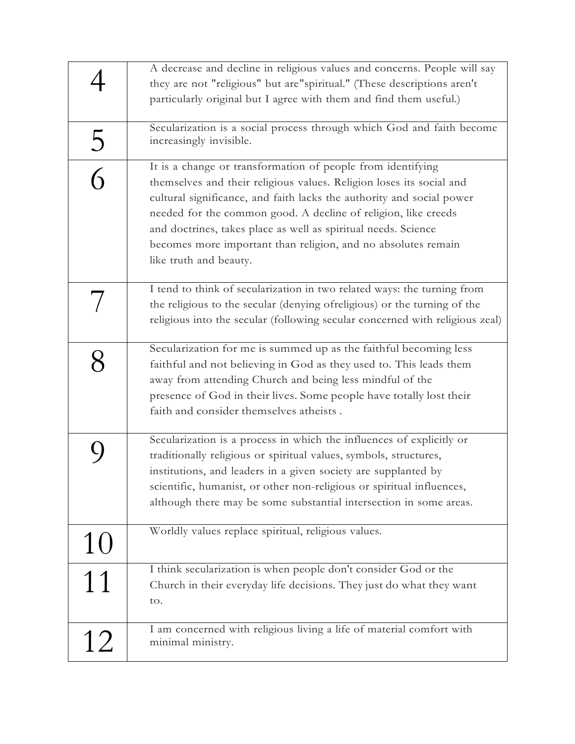|                | A decrease and decline in religious values and concerns. People will say<br>they are not "religious" but are "spiritual." (These descriptions aren't<br>particularly original but I agree with them and find them useful.)                                                                                                                                                                                                                  |
|----------------|---------------------------------------------------------------------------------------------------------------------------------------------------------------------------------------------------------------------------------------------------------------------------------------------------------------------------------------------------------------------------------------------------------------------------------------------|
| 5              | Secularization is a social process through which God and faith become<br>increasingly invisible.                                                                                                                                                                                                                                                                                                                                            |
| $\overline{G}$ | It is a change or transformation of people from identifying<br>themselves and their religious values. Religion loses its social and<br>cultural significance, and faith lacks the authority and social power<br>needed for the common good. A decline of religion, like creeds<br>and doctrines, takes place as well as spiritual needs. Science<br>becomes more important than religion, and no absolutes remain<br>like truth and beauty. |
|                | I tend to think of secularization in two related ways: the turning from<br>the religious to the secular (denying of religious) or the turning of the<br>religious into the secular (following secular concerned with religious zeal)                                                                                                                                                                                                        |
|                | Secularization for me is summed up as the faithful becoming less<br>faithful and not believing in God as they used to. This leads them<br>away from attending Church and being less mindful of the<br>presence of God in their lives. Some people have totally lost their<br>faith and consider themselves atheists.                                                                                                                        |
|                | Secularization is a process in which the influences of explicitly or<br>traditionally religious or spiritual values, symbols, structures,<br>institutions, and leaders in a given society are supplanted by<br>scientific, humanist, or other non-religious or spiritual influences,<br>although there may be some substantial intersection in some areas.                                                                                  |
| 10             | Worldly values replace spiritual, religious values.                                                                                                                                                                                                                                                                                                                                                                                         |
| 11             | I think secularization is when people don't consider God or the<br>Church in their everyday life decisions. They just do what they want<br>to.                                                                                                                                                                                                                                                                                              |
| 12             | I am concerned with religious living a life of material comfort with<br>minimal ministry.                                                                                                                                                                                                                                                                                                                                                   |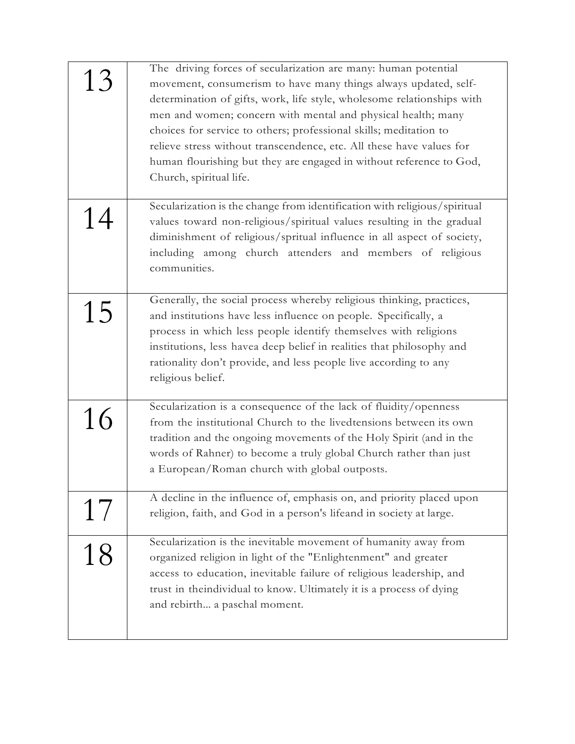| 13 | The driving forces of secularization are many: human potential<br>movement, consumerism to have many things always updated, self-<br>determination of gifts, work, life style, wholesome relationships with<br>men and women; concern with mental and physical health; many<br>choices for service to others; professional skills; meditation to<br>relieve stress without transcendence, etc. All these have values for<br>human flourishing but they are engaged in without reference to God,<br>Church, spiritual life. |
|----|----------------------------------------------------------------------------------------------------------------------------------------------------------------------------------------------------------------------------------------------------------------------------------------------------------------------------------------------------------------------------------------------------------------------------------------------------------------------------------------------------------------------------|
| 14 | Secularization is the change from identification with religious/spiritual<br>values toward non-religious/spiritual values resulting in the gradual<br>diminishment of religious/spritual influence in all aspect of society,<br>including among church attenders and members of religious<br>communities.                                                                                                                                                                                                                  |
| 15 | Generally, the social process whereby religious thinking, practices,<br>and institutions have less influence on people. Specifically, a<br>process in which less people identify themselves with religions<br>institutions, less havea deep belief in realities that philosophy and<br>rationality don't provide, and less people live according to any<br>religious belief.                                                                                                                                               |
| 16 | Secularization is a consequence of the lack of fluidity/openness<br>from the institutional Church to the livedtensions between its own<br>tradition and the ongoing movements of the Holy Spirit (and in the<br>words of Rahner) to become a truly global Church rather than just<br>a European/Roman church with global outposts.                                                                                                                                                                                         |
| 17 | A decline in the influence of, emphasis on, and priority placed upon<br>religion, faith, and God in a person's lifeand in society at large.                                                                                                                                                                                                                                                                                                                                                                                |
| 18 | Secularization is the inevitable movement of humanity away from<br>organized religion in light of the "Enlightenment" and greater<br>access to education, inevitable failure of religious leadership, and<br>trust in the individual to know. Ultimately it is a process of dying<br>and rebirth a paschal moment.                                                                                                                                                                                                         |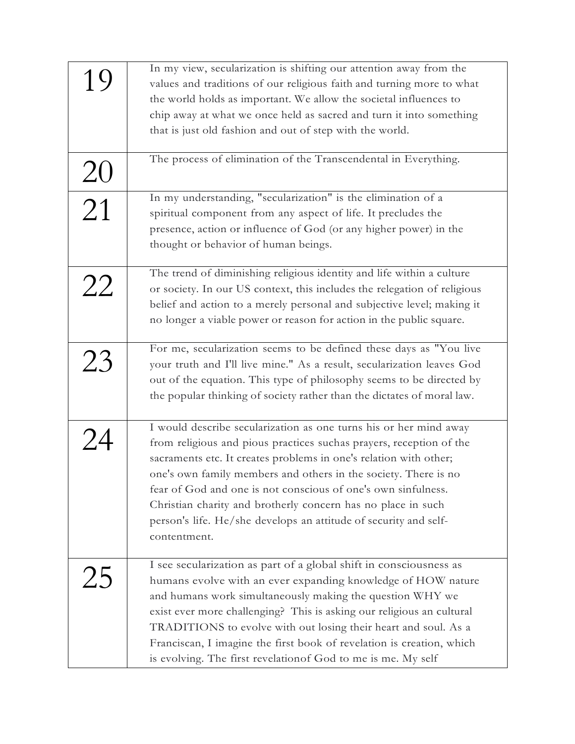| In my view, secularization is shifting our attention away from the       |
|--------------------------------------------------------------------------|
| values and traditions of our religious faith and turning more to what    |
| the world holds as important. We allow the societal influences to        |
| chip away at what we once held as sacred and turn it into something      |
|                                                                          |
|                                                                          |
| The process of elimination of the Transcendental in Everything.          |
|                                                                          |
| In my understanding, "secularization" is the elimination of a            |
| spiritual component from any aspect of life. It precludes the            |
| presence, action or influence of God (or any higher power) in the        |
|                                                                          |
|                                                                          |
| The trend of diminishing religious identity and life within a culture    |
| or society. In our US context, this includes the relegation of religious |
| belief and action to a merely personal and subjective level; making it   |
| no longer a viable power or reason for action in the public square.      |
|                                                                          |
| For me, secularization seems to be defined these days as "You live       |
| your truth and I'll live mine." As a result, secularization leaves God   |
| out of the equation. This type of philosophy seems to be directed by     |
| the popular thinking of society rather than the dictates of moral law.   |
|                                                                          |
| I would describe secularization as one turns his or her mind away        |
| from religious and pious practices suchas prayers, reception of the      |
| sacraments etc. It creates problems in one's relation with other;        |
| one's own family members and others in the society. There is no          |
| fear of God and one is not conscious of one's own sinfulness.            |
| Christian charity and brotherly concern has no place in such             |
| person's life. He/she develops an attitude of security and self-         |
|                                                                          |
|                                                                          |
| I see secularization as part of a global shift in consciousness as       |
| humans evolve with an ever expanding knowledge of HOW nature             |
| and humans work simultaneously making the question WHY we                |
| exist ever more challenging? This is asking our religious an cultural    |
| TRADITIONS to evolve with out losing their heart and soul. As a          |
| Franciscan, I imagine the first book of revelation is creation, which    |
| is evolving. The first revelation of God to me is me. My self            |
|                                                                          |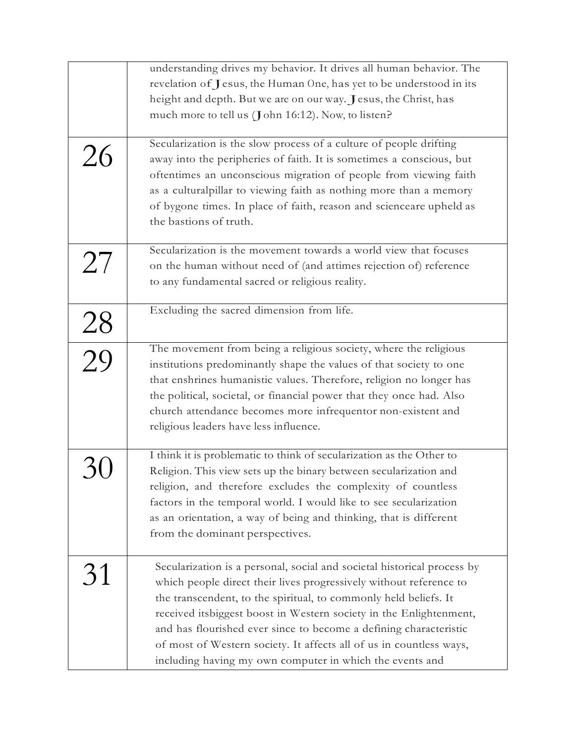|                 | understanding drives my behavior. It drives all human behavior. The     |
|-----------------|-------------------------------------------------------------------------|
|                 | revelation of Jesus, the Human One, has yet to be understood in its     |
|                 | height and depth. But we are on our way. Jesus, the Christ, has         |
|                 | much more to tell us (John 16:12). Now, to listen?                      |
|                 |                                                                         |
|                 | Secularization is the slow process of a culture of people drifting      |
| 26              | away into the peripheries of faith. It is sometimes a conscious, but    |
|                 | oftentimes an unconscious migration of people from viewing faith        |
|                 | as a culturalpillar to viewing faith as nothing more than a memory      |
|                 | of bygone times. In place of faith, reason and scienceare upheld as     |
|                 | the bastions of truth.                                                  |
|                 |                                                                         |
|                 | Secularization is the movement towards a world view that focuses        |
| 27              | on the human without need of (and attimes rejection of) reference       |
|                 | to any fundamental sacred or religious reality.                         |
|                 | Excluding the sacred dimension from life.                               |
|                 |                                                                         |
| $\frac{28}{29}$ |                                                                         |
|                 | The movement from being a religious society, where the religious        |
|                 | institutions predominantly shape the values of that society to one      |
|                 | that enshrines humanistic values. Therefore, religion no longer has     |
|                 | the political, societal, or financial power that they once had. Also    |
|                 | church attendance becomes more infrequentor non-existent and            |
|                 | religious leaders have less influence.                                  |
|                 |                                                                         |
|                 | I think it is problematic to think of secularization as the Other to    |
|                 | Religion. This view sets up the binary between secularization and       |
|                 | religion, and therefore excludes the complexity of countless            |
|                 | factors in the temporal world. I would like to see secularization       |
|                 | as an orientation, a way of being and thinking, that is different       |
|                 | from the dominant perspectives.                                         |
|                 |                                                                         |
| 31              | Secularization is a personal, social and societal historical process by |
|                 | which people direct their lives progressively without reference to      |
|                 | the transcendent, to the spiritual, to commonly held beliefs. It        |
|                 | received its biggest boost in Western society in the Enlightenment,     |
|                 | and has flourished ever since to become a defining characteristic       |
|                 | of most of Western society. It affects all of us in countless ways,     |
|                 | including having my own computer in which the events and                |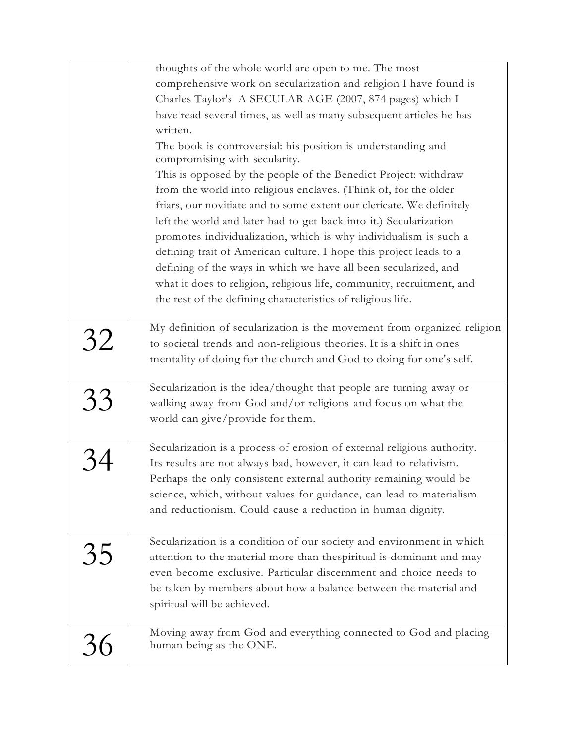|    | thoughts of the whole world are open to me. The most                                          |
|----|-----------------------------------------------------------------------------------------------|
|    | comprehensive work on secularization and religion I have found is                             |
|    | Charles Taylor's A SECULAR AGE (2007, 874 pages) which I                                      |
|    | have read several times, as well as many subsequent articles he has                           |
|    | written.                                                                                      |
|    | The book is controversial: his position is understanding and<br>compromising with secularity. |
|    | This is opposed by the people of the Benedict Project: withdraw                               |
|    | from the world into religious enclaves. (Think of, for the older                              |
|    | friars, our novitiate and to some extent our clericate. We definitely                         |
|    | left the world and later had to get back into it.) Secularization                             |
|    | promotes individualization, which is why individualism is such a                              |
|    | defining trait of American culture. I hope this project leads to a                            |
|    | defining of the ways in which we have all been secularized, and                               |
|    | what it does to religion, religious life, community, recruitment, and                         |
|    | the rest of the defining characteristics of religious life.                                   |
|    |                                                                                               |
|    | My definition of secularization is the movement from organized religion                       |
| 32 | to societal trends and non-religious theories. It is a shift in ones                          |
|    | mentality of doing for the church and God to doing for one's self.                            |
|    |                                                                                               |
|    | Secularization is the idea/thought that people are turning away or                            |
| 33 | walking away from God and/or religions and focus on what the                                  |
|    | world can give/provide for them.                                                              |
|    | Secularization is a process of erosion of external religious authority.                       |
|    | Its results are not always bad, however, it can lead to relativism.                           |
|    |                                                                                               |
|    | Perhaps the only consistent external authority remaining would be                             |
|    | science, which, without values for guidance, can lead to materialism                          |
|    | and reductionism. Could cause a reduction in human dignity.                                   |
|    | Secularization is a condition of our society and environment in which                         |
| 35 | attention to the material more than thespiritual is dominant and may                          |
|    | even become exclusive. Particular discernment and choice needs to                             |
|    | be taken by members about how a balance between the material and                              |
|    | spiritual will be achieved.                                                                   |
|    |                                                                                               |
|    | Moving away from God and everything connected to God and placing                              |
| 36 | human being as the ONE.                                                                       |
|    |                                                                                               |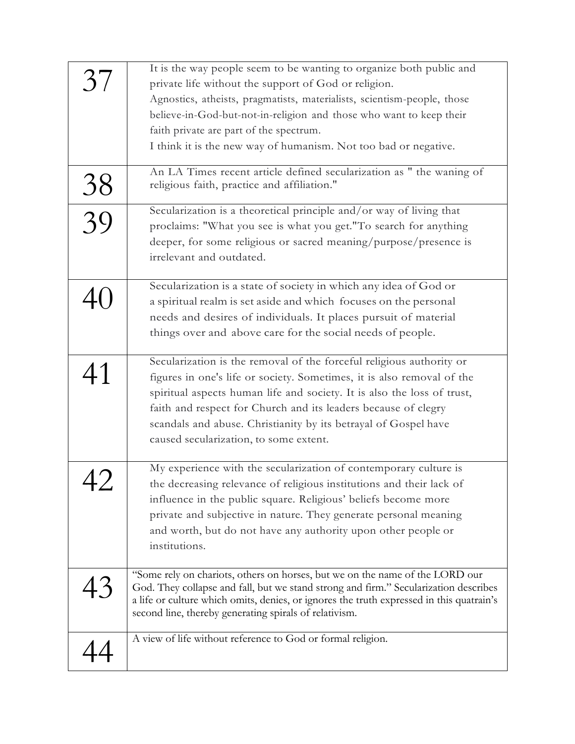| 37              | It is the way people seem to be wanting to organize both public and<br>private life without the support of God or religion.<br>Agnostics, atheists, pragmatists, materialists, scientism-people, those<br>believe-in-God-but-not-in-religion and those who want to keep their<br>faith private are part of the spectrum.<br>I think it is the new way of humanism. Not too bad or negative.<br>An LA Times recent article defined secularization as " the waning of |
|-----------------|---------------------------------------------------------------------------------------------------------------------------------------------------------------------------------------------------------------------------------------------------------------------------------------------------------------------------------------------------------------------------------------------------------------------------------------------------------------------|
| $\frac{38}{39}$ | religious faith, practice and affiliation."<br>Secularization is a theoretical principle and/or way of living that                                                                                                                                                                                                                                                                                                                                                  |
|                 | proclaims: "What you see is what you get."To search for anything<br>deeper, for some religious or sacred meaning/purpose/presence is<br>irrelevant and outdated.                                                                                                                                                                                                                                                                                                    |
|                 | Secularization is a state of society in which any idea of God or<br>a spiritual realm is set aside and which focuses on the personal<br>needs and desires of individuals. It places pursuit of material<br>things over and above care for the social needs of people.                                                                                                                                                                                               |
| 41              | Secularization is the removal of the forceful religious authority or<br>figures in one's life or society. Sometimes, it is also removal of the<br>spiritual aspects human life and society. It is also the loss of trust,<br>faith and respect for Church and its leaders because of clegry<br>scandals and abuse. Christianity by its betrayal of Gospel have<br>caused secularization, to some extent.                                                            |
| ∠+              | My experience with the secularization of contemporary culture is<br>the decreasing relevance of religious institutions and their lack of<br>influence in the public square. Religious' beliefs become more<br>private and subjective in nature. They generate personal meaning<br>and worth, but do not have any authority upon other people or<br>institutions.                                                                                                    |
| $\overline{43}$ | "Some rely on chariots, others on horses, but we on the name of the LORD our<br>God. They collapse and fall, but we stand strong and firm." Secularization describes<br>a life or culture which omits, denies, or ignores the truth expressed in this quatrain's<br>second line, thereby generating spirals of relativism.                                                                                                                                          |
|                 | A view of life without reference to God or formal religion.                                                                                                                                                                                                                                                                                                                                                                                                         |